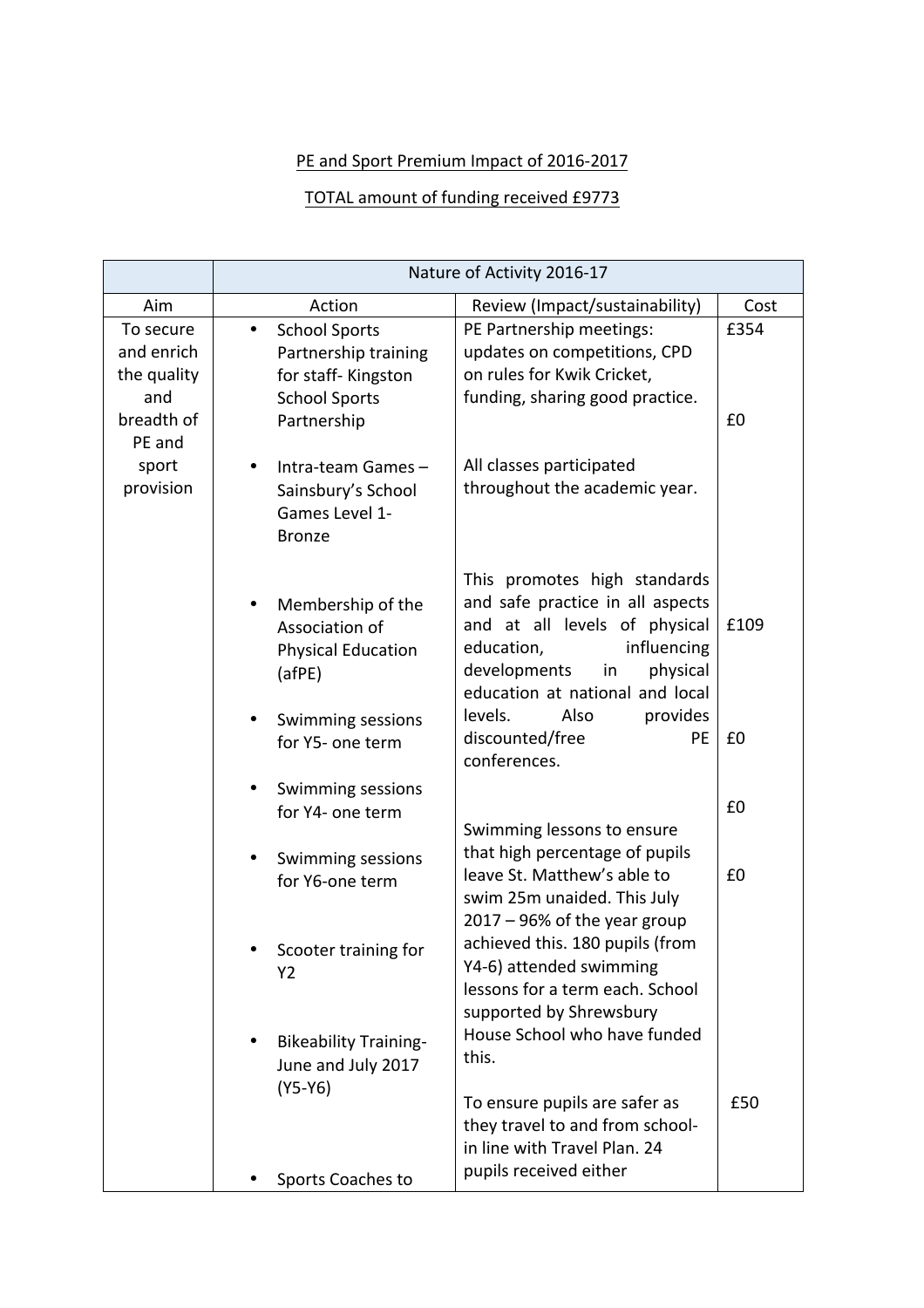## PE and Sport Premium Impact of 2016-2017

## TOTAL amount of funding received £9773

|                                                                                             | Nature of Activity 2016-17                                                                                                                                                          |                                                                                                                                                                                                                                    |            |
|---------------------------------------------------------------------------------------------|-------------------------------------------------------------------------------------------------------------------------------------------------------------------------------------|------------------------------------------------------------------------------------------------------------------------------------------------------------------------------------------------------------------------------------|------------|
| Aim                                                                                         | Action                                                                                                                                                                              | Review (Impact/sustainability)                                                                                                                                                                                                     | Cost       |
| To secure<br>and enrich<br>the quality<br>and<br>breadth of<br>PE and<br>sport<br>provision | <b>School Sports</b><br>$\bullet$<br>Partnership training<br>for staff-Kingston<br><b>School Sports</b><br>Partnership<br>Intra-team Games-<br>Sainsbury's School<br>Games Level 1- | PE Partnership meetings:<br>updates on competitions, CPD<br>on rules for Kwik Cricket,<br>funding, sharing good practice.<br>All classes participated<br>throughout the academic year.                                             | £354<br>£0 |
|                                                                                             | <b>Bronze</b><br>Membership of the<br>Association of<br><b>Physical Education</b><br>(afPE)<br>Swimming sessions                                                                    | This promotes high standards<br>and safe practice in all aspects<br>and at all levels of physical<br>influencing<br>education,<br>developments<br>physical<br>in<br>education at national and local<br>Also<br>provides<br>levels. | £109       |
|                                                                                             | for Y5- one term                                                                                                                                                                    | discounted/free<br><b>PE</b><br>conferences.                                                                                                                                                                                       | £0         |
|                                                                                             | Swimming sessions<br>for Y4- one term                                                                                                                                               | Swimming lessons to ensure                                                                                                                                                                                                         | £0         |
|                                                                                             | Swimming sessions<br>for Y6-one term                                                                                                                                                | that high percentage of pupils<br>leave St. Matthew's able to<br>swim 25m unaided. This July<br>$2017 - 96\%$ of the year group                                                                                                    | £0         |
|                                                                                             | Scooter training for<br>Y2<br><b>Bikeability Training-</b>                                                                                                                          | achieved this. 180 pupils (from<br>Y4-6) attended swimming<br>lessons for a term each. School<br>supported by Shrewsbury<br>House School who have funded                                                                           |            |
|                                                                                             | June and July 2017<br>$(Y5-Y6)$                                                                                                                                                     | this.<br>To ensure pupils are safer as<br>they travel to and from school-<br>in line with Travel Plan. 24                                                                                                                          | £50        |
|                                                                                             | Sports Coaches to                                                                                                                                                                   | pupils received either                                                                                                                                                                                                             |            |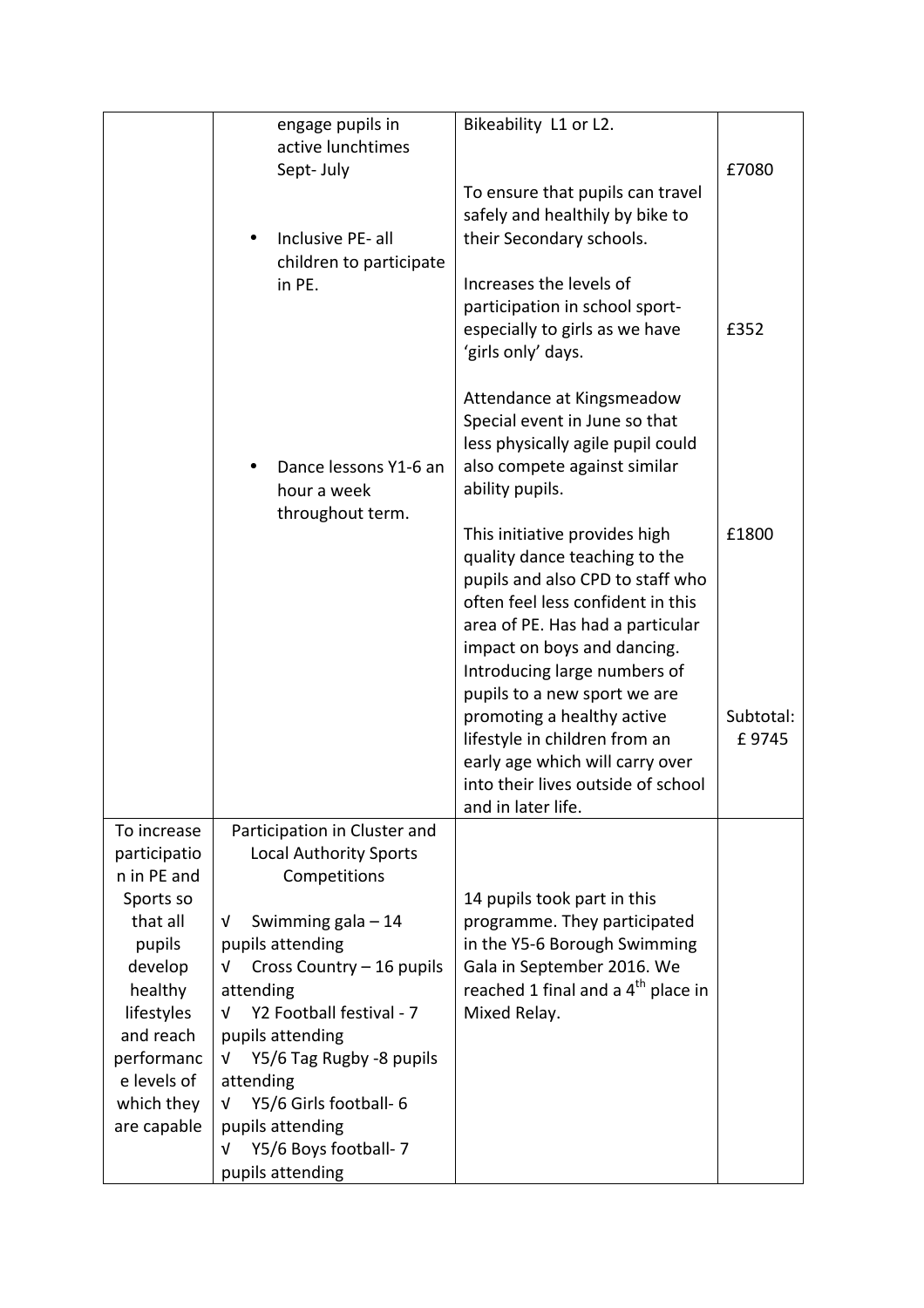|                         | engage pupils in                                  | Bikeability L1 or L2.                                              |                    |
|-------------------------|---------------------------------------------------|--------------------------------------------------------------------|--------------------|
|                         | active lunchtimes<br>Sept-July                    |                                                                    | £7080              |
|                         |                                                   | To ensure that pupils can travel                                   |                    |
|                         |                                                   | safely and healthily by bike to                                    |                    |
|                         | Inclusive PE-all                                  | their Secondary schools.                                           |                    |
|                         | children to participate<br>in PE.                 | Increases the levels of                                            |                    |
|                         |                                                   | participation in school sport-                                     |                    |
|                         |                                                   | especially to girls as we have                                     | £352               |
|                         |                                                   | 'girls only' days.                                                 |                    |
|                         |                                                   | Attendance at Kingsmeadow                                          |                    |
|                         |                                                   | Special event in June so that<br>less physically agile pupil could |                    |
|                         | Dance lessons Y1-6 an                             | also compete against similar                                       |                    |
|                         | hour a week                                       | ability pupils.                                                    |                    |
|                         | throughout term.                                  |                                                                    |                    |
|                         |                                                   | This initiative provides high<br>quality dance teaching to the     | £1800              |
|                         |                                                   | pupils and also CPD to staff who                                   |                    |
|                         |                                                   | often feel less confident in this                                  |                    |
|                         |                                                   | area of PE. Has had a particular<br>impact on boys and dancing.    |                    |
|                         |                                                   | Introducing large numbers of                                       |                    |
|                         |                                                   | pupils to a new sport we are                                       |                    |
|                         |                                                   | promoting a healthy active<br>lifestyle in children from an        | Subtotal:<br>£9745 |
|                         |                                                   | early age which will carry over                                    |                    |
|                         |                                                   | into their lives outside of school                                 |                    |
| To increase             | Participation in Cluster and                      | and in later life.                                                 |                    |
| participatio            | <b>Local Authority Sports</b>                     |                                                                    |                    |
| n in PE and             | Competitions                                      |                                                                    |                    |
| Sports so<br>that all   | Swimming gala $-14$<br>V                          | 14 pupils took part in this<br>programme. They participated        |                    |
| pupils                  | pupils attending                                  | in the Y5-6 Borough Swimming                                       |                    |
| develop                 | Cross Country - 16 pupils<br>V                    | Gala in September 2016. We                                         |                    |
| healthy                 | attending                                         | reached 1 final and a 4 <sup>th</sup> place in                     |                    |
| lifestyles<br>and reach | Y2 Football festival - 7<br>V<br>pupils attending | Mixed Relay.                                                       |                    |
| performanc              | Y5/6 Tag Rugby -8 pupils<br>V                     |                                                                    |                    |
| e levels of             | attending                                         |                                                                    |                    |
| which they              | Y5/6 Girls football- 6<br>V<br>pupils attending   |                                                                    |                    |
| are capable             | Y5/6 Boys football- 7<br>v                        |                                                                    |                    |
|                         | pupils attending                                  |                                                                    |                    |